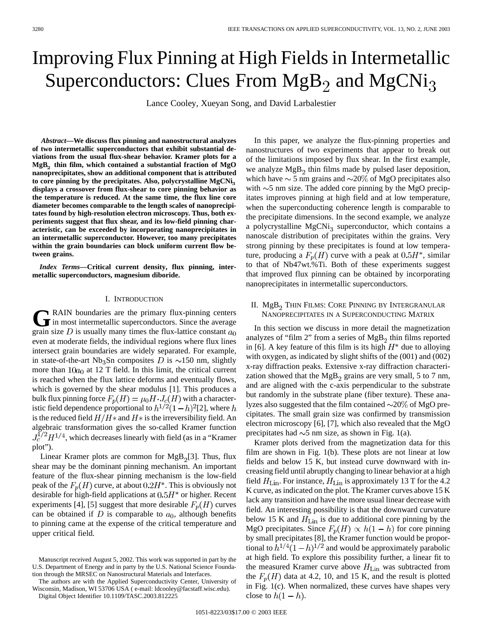# Improving Flux Pinning at High Fields in Intermetallic Superconductors: Clues From  $MgB<sub>2</sub>$  and  $MgCNi<sub>3</sub>$

Lance Cooley, Xueyan Song, and David Larbalestier

*Abstract—***We discuss flux pinning and nanostructural analyzes of two intermetallic superconductors that exhibit substantial deviations from the usual flux-shear behavior. Kramer plots for a MgB**<sup>2</sup> **thin film, which contained a substantial fraction of MgO nanoprecipitates, show an additional component that is attributed** to core pinning by the precipitates. Also, polycrystalline MgCNi<sub>3</sub> **displays a crossover from flux-shear to core pinning behavior as the temperature is reduced. At the same time, the flux line core diameter becomes comparable to the length scales of nanoprecipitates found by high-resolution electron microscopy. Thus, both experiments suggest that flux shear, and its low-field pinning characteristic, can be exceeded by incorporating nanoprecipitates in an intermetallic superconductor. However, too many precipitates within the grain boundaries can block uniform current flow between grains.**

*Index Terms—***Critical current density, flux pinning, intermetallic superconductors, magnesium diboride.**

### I. INTRODUCTION

GRAIN boundaries are the primary flux-pinning centers<br>in most intermetallic superconductors. Since the average grain size D is usually many times the flux-lattice constant  $a_0$ even at moderate fields, the individual regions where flux lines intersect grain boundaries are widely separated. For example, in state-of-the-art Nb<sub>3</sub>Sn composites D is  $\sim$ 150 nm, slightly more than  $10a_0$  at 12 T field. In this limit, the critical current is reached when the flux lattice deforms and eventually flows, which is governed by the shear modulus [1]. This produces a bulk flux pinning force  $F_p(H) = \mu_0 H \cdot J_c(H)$  with a characteristic field dependence proportional to  $h^{1/2}(1-h)^2[2]$ , where h is the reduced field  $H/H$  and  $H*$  is the irreversibility field. An algebraic transformation gives the so-called Kramer function  $J_c^{1/2}H^{1/4}$ , which decreases linearly with field (as in a "Kramer" plot").

Linear Kramer plots are common for  $MgB<sub>2</sub>[3]$ . Thus, flux shear may be the dominant pinning mechanism. An important feature of the flux-shear pinning mechanism is the low-field peak of the  $F_p(H)$  curve, at about 0.2H<sup>\*</sup>. This is obviously not desirable for high-field applications at  $0.5H^*$  or higher. Recent experiments [4], [5] suggest that more desirable  $F_p(H)$  curves can be obtained if D is comparable to  $a_0$ , although benefits to pinning came at the expense of the critical temperature and upper critical field.

The authors are with the Applied Superconductivity Center, University of Wisconsin, Madison, WI 53706 USA ( e-mail: ldcooley@facstaff.wisc.edu).

Digital Object Identifier 10.1109/TASC.2003.812225

In this paper, we analyze the flux-pinning properties and nanostructures of two experiments that appear to break out of the limitations imposed by flux shear. In the first example, we analyze  $MgB<sub>2</sub>$  thin films made by pulsed laser deposition, which have  $\sim$  5 nm grains and  $\sim$ 20% of MgO precipitates also with  $\sim$ 5 nm size. The added core pinning by the MgO precipitates improves pinning at high field and at low temperature, when the superconducting coherence length is comparable to the precipitate dimensions. In the second example, we analyze a polycrystalline  $MgCNi<sub>3</sub>$  superconductor, which contains a nanoscale distribution of precipitates within the grains. Very strong pinning by these precipitates is found at low temperature, producing a  $F_p(H)$  curve with a peak at  $0.5H^*$ , similar to that of Nb47wt.%Ti. Both of these experiments suggest that improved flux pinning can be obtained by incorporating nanoprecipitates in intermetallic superconductors.

# II. MgB<sub>2</sub> Thin Films: Core Pinning by Intergranular NANOPRECIPITATES IN A SUPERCONDUCTING MATRIX

In this section we discuss in more detail the magnetization analyzes of "film 2" from a series of  $MgB<sub>2</sub>$  thin films reported in [6]. A key feature of this film is its high  $H^*$  due to alloying with oxygen, as indicated by slight shifts of the (001) and (002) x-ray diffraction peaks. Extensive x-ray diffraction characterization showed that the  $MgB<sub>2</sub>$  grains are very small, 5 to 7 nm, and are aligned with the c-axis perpendicular to the substrate but randomly in the substrate plane (fiber texture). These analyzes also suggested that the film contained  $\sim$ 20% of MgO precipitates. The small grain size was confirmed by transmission electron microscopy [6], [7], which also revealed that the MgO precipitates had  $\sim$ 5 nm size, as shown in Fig. 1(a).

Kramer plots derived from the magnetization data for this film are shown in Fig. 1(b). These plots are not linear at low fields and below 15 K, but instead curve downward with increasing field until abruptly changing to linear behavior at a high field  $H_{\text{Lin}}$ . For instance,  $H_{\text{Lin}}$  is approximately 13 T for the 4.2 K curve, as indicated on the plot. The Kramer curves above 15 K lack any transition and have the more usual linear decrease with field. An interesting possibility is that the downward curvature below 15 K and  $H_{\text{Lin}}$  is due to additional core pinning by the MgO precipitates. Since  $F_p(H) \propto h(1-h)$  for core pinning by small precipitates [8], the Kramer function would be proportional to  $h^{1/4}(1-h)^{1/2}$  and would be approximately parabolic at high field. To explore this possibility further, a linear fit to the measured Kramer curve above  $H_{\text{Lin}}$  was subtracted from the  $F_p(H)$  data at 4.2, 10, and 15 K, and the result is plotted in Fig. 1(c). When normalized, these curves have shapes very close to  $h(1-h)$ .

Manuscript received August 5, 2002. This work was supported in part by the U.S. Department of Energy and in party by the U.S. National Science Foundation through the MRSEC on Nanostructural Materials and Interfaces.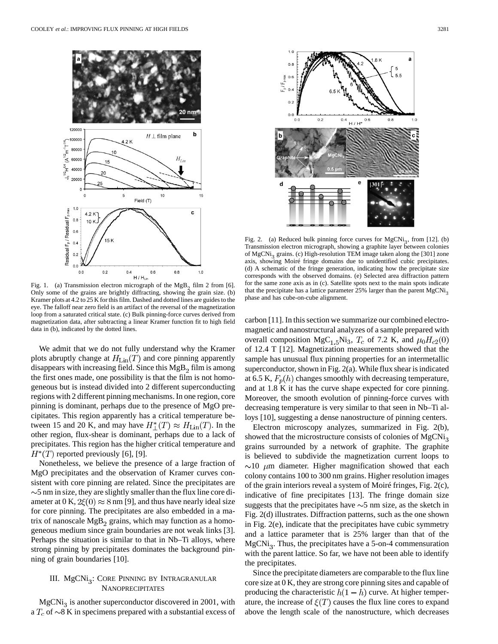

Fig. 1. (a) Transmission electron micrograph of the  $MgB<sub>2</sub>$  film 2 from [6]. Only some of the grains are brightly diffracting, showing the grain size. (b) Kramer plots at 4.2 to 25 K for this film. Dashed and dotted lines are guides to the eye. The falloff near zero field is an artifact of the reversal of the magnetization loop from a saturated critical state. (c) Bulk pinning-force curves derived from magnetization data, after subtracting a linear Kramer function fit to high field data in (b), indicated by the dotted lines.

We admit that we do not fully understand why the Kramer plots abruptly change at  $H_{\text{Lin}}(T)$  and core pinning apparently disappears with increasing field. Since this  $MgB<sub>2</sub>$  film is among the first ones made, one possibility is that the film is not homogeneous but is instead divided into 2 different superconducting regions with 2 different pinning mechanisms. In one region, core pinning is dominant, perhaps due to the presence of MgO precipitates. This region apparently has a critical temperature between 15 and 20 K, and may have  $H^*(T) \approx H_{\text{Lin}}(T)$ . In the other region, flux-shear is dominant, perhaps due to a lack of precipitates. This region has the higher critical temperature and  $H^*(T)$  reported previously [6], [9].

Nonetheless, we believe the presence of a large fraction of MgO precipitates and the observation of Kramer curves consistent with core pinning are related. Since the precipitates are  $\sim$ 5 nm in size, they are slightly smaller than the flux line core diameter at 0 K,  $2\xi(0) \approx 8$  nm [9], and thus have nearly ideal size for core pinning. The precipitates are also embedded in a matrix of nanoscale  $MgB<sub>2</sub>$  grains, which may function as a homogeneous medium since grain boundaries are not weak links [3]. Perhaps the situation is similar to that in Nb–Ti alloys, where strong pinning by precipitates dominates the background pinning of grain boundaries [10].

# III. MgCNi<sub>3</sub>: CORE PINNING BY INTRAGRANULAR NANOPRECIPITATES

 $MgCNi<sub>3</sub>$  is another superconductor discovered in 2001, with a  $T_c$  of  $\sim$ 8 K in specimens prepared with a substantial excess of



Fig. 2. (a) Reduced bulk pinning force curves for  $MgCNi<sub>3</sub>$ , from [12]. (b) Transmission electron micrograph, showing a graphite layer between colonies of MgCNi<sub>3</sub> grains. (c) High-resolution TEM image taken along the [301] zone axis, showing Moiré fringe domains due to unidentified cubic precipitates. (d) A schematic of the fringe generation, indicating how the precipitate size corresponds with the observed domains. (e) Selected area diffraction pattern for the same zone axis as in (c). Satellite spots next to the main spots indicate that the precipitate has a lattice parameter 25% larger than the parent MgCNi<sub>3</sub> phase and has cube-on-cube alignment.

carbon [11]. In this section we summarize our combined electromagnetic and nanostructural analyzes of a sample prepared with overall composition MgC<sub>1.5</sub>Ni<sub>3</sub>,  $T_c$  of 7.2 K, and  $\mu_0 H_{c2}(0)$ of 12.4 T [12]. Magnetization measurements showed that the sample has unusual flux pinning properties for an intermetallic superconductor, shown in Fig. 2(a). While flux shear is indicated at 6.5 K,  $F_p(h)$  changes smoothly with decreasing temperature, and at 1.8 K it has the curve shape expected for core pinning. Moreover, the smooth evolution of pinning-force curves with decreasing temperature is very similar to that seen in Nb–Ti alloys [10], suggesting a dense nanostructure of pinning centers.

Electron microscopy analyzes, summarized in Fig. 2(b), showed that the microstructure consists of colonies of MgCNi<sub>3</sub> grains surrounded by a network of graphite. The graphite is believed to subdivide the magnetization current loops to  $\sim$ 10  $\mu$ m diameter. Higher magnification showed that each colony contains 100 to 300 nm grains. Higher resolution images of the grain interiors reveal a system of Moiré fringes, Fig. 2(c), indicative of fine precipitates [13]. The fringe domain size suggests that the precipitates have  $\sim$  5 nm size, as the sketch in Fig. 2(d) illustrates. Diffraction patterns, such as the one shown in Fig. 2(e), indicate that the precipitates have cubic symmetry and a lattice parameter that is 25% larger than that of the  $MgCNi<sub>3</sub>$ . Thus, the precipitates have a 5-on-4 commensuration with the parent lattice. So far, we have not been able to identify the precipitates.

Since the precipitate diameters are comparable to the flux line core size at 0 K, they are strong core pinning sites and capable of producing the characteristic  $h(1-h)$  curve. At higher temperature, the increase of  $\xi(T)$  causes the flux line cores to expand above the length scale of the nanostructure, which decreases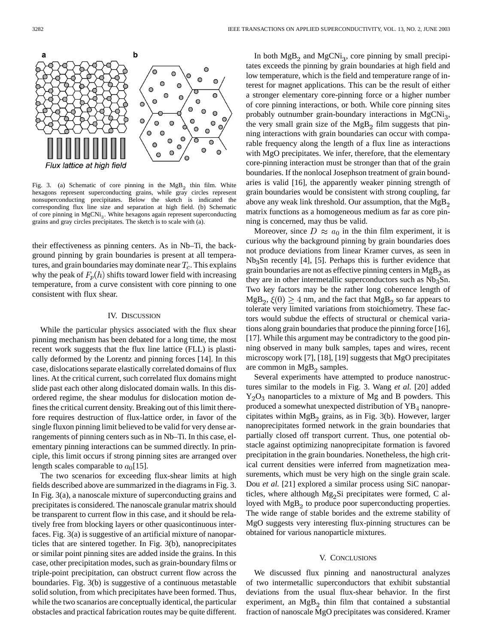

Fig. 3. (a) Schematic of core pinning in the  $MgB<sub>2</sub>$  thin film. White hexagons represent superconducting grains, while gray circles represent nonsuperconducting precipitates. Below the sketch is indicated the corresponding flux line size and separation at high field. (b) Schematic of core pinning in MgCNi<sub>3</sub>. White hexagons again represent superconducting grains and gray circles precipitates. The sketch is to scale with (a).

their effectiveness as pinning centers. As in Nb–Ti, the background pinning by grain boundaries is present at all temperatures, and grain boundaries may dominate near  $T_c$ . This explains why the peak of  $F_p(h)$  shifts toward lower field with increasing temperature, from a curve consistent with core pinning to one consistent with flux shear.

#### IV. DISCUSSION

While the particular physics associated with the flux shear pinning mechanism has been debated for a long time, the most recent work suggests that the flux line lattice (FLL) is plastically deformed by the Lorentz and pinning forces [14]. In this case, dislocations separate elastically correlated domains of flux lines. At the critical current, such correlated flux domains might slide past each other along dislocated domain walls. In this disordered regime, the shear modulus for dislocation motion defines the critical current density. Breaking out of this limit therefore requires destruction of flux-lattice order, in favor of the single fluxon pinning limit believed to be valid for very dense arrangements of pinning centers such as in Nb–Ti. In this case, elementary pinning interactions can be summed directly. In principle, this limit occurs if strong pinning sites are arranged over length scales comparable to  $a_0$ [15].

The two scenarios for exceeding flux-shear limits at high fields described above are summarized in the diagrams in Fig. 3. In Fig. 3(a), a nanoscale mixture of superconducting grains and precipitates is considered. The nanoscale granular matrix should be transparent to current flow in this case, and it should be relatively free from blocking layers or other quasicontinuous interfaces. Fig. 3(a) is suggestive of an artificial mixture of nanoparticles that are sintered together. In Fig. 3(b), nanoprecipitates or similar point pinning sites are added inside the grains. In this case, other precipitation modes, such as grain-boundary films or triple-point precipitation, can obstruct current flow across the boundaries. Fig. 3(b) is suggestive of a continuous metastable solid solution, from which precipitates have been formed. Thus, while the two scanarios are conceptually identical, the particular obstacles and practical fabrication routes may be quite different.

In both  $MgB_2$  and  $MgCNi_3$ , core pinning by small precipitates exceeds the pinning by grain boundaries at high field and low temperature, which is the field and temperature range of interest for magnet applications. This can be the result of either a stronger elementary core-pinning force or a higher number of core pinning interactions, or both. While core pinning sites probably outnumber grain-boundary interactions in  $MgCNi_3$ , the very small grain size of the  $MgB<sub>2</sub>$  film suggests that pinning interactions with grain boundaries can occur with comparable frequency along the length of a flux line as interactions with MgO precipitates. We infer, therefore, that the elementary core-pinning interaction must be stronger than that of the grain boundaries. If the nonlocal Josephson treatment of grain boundaries is valid [16], the apparently weaker pinning strength of grain boundaries would be consistent with strong coupling, far above any weak link threshold. Our assumption, that the MgB matrix functions as a homogeneous medium as far as core pinning is concerned, may thus be valid.

Moreover, since  $D \approx a_0$  in the thin film experiment, it is curious why the background pinning by grain boundaries does not produce deviations from linear Kramer curves, as seen in  $Nb<sub>3</sub>Sn$  recently [4], [5]. Perhaps this is further evidence that grain boundaries are not as effective pinning centers in  $MgB<sub>2</sub>$  as they are in other intermetallic superconductors such as  $Nb<sub>3</sub>Sn$ . Two key factors may be the rather long coherence length of  $MgB_2$ ,  $\xi(0) \geq 4$  nm, and the fact that  $MgB_2$  so far appears to tolerate very limited variations from stoichiometry. These factors would subdue the effects of structural or chemical variations along grain boundaries that produce the pinning force [16], [17]. While this argument may be contradictory to the good pinning observed in many bulk samples, tapes and wires, recent microscopy work [7], [18], [19] suggests that MgO precipitates are common in  $MgB<sub>2</sub>$  samples.

Several experiments have attempted to produce nanostructures similar to the models in Fig. 3. Wang *et al.* [20] added  $Y_2O_3$  nanoparticles to a mixture of Mg and B powders. This produced a somewhat unexpected distribution of YB<sub>4</sub> nanoprecipitates within  $MgB<sub>2</sub>$  grains, as in Fig. 3(b). However, larger nanoprecipitates formed network in the grain boundaries that partially closed off transport current. Thus, one potential obstacle against optimizing nanoprecipitate formation is favored precipitation in the grain boundaries. Nonetheless, the high critical current densities were inferred from magnetization measurements, which must be very high on the single grain scale. Dou *et al.* [21] explored a similar process using SiC nanoparticles, where although  $Mg_2Si$  precipitates were formed, C alloyed with  $Mg_{\mathcal{B}_{2}}$  to produce poor superconducting properties. The wide range of stable borides and the extreme stability of MgO suggests very interesting flux-pinning structures can be obtained for various nanoparticle mixtures.

## V. CONCLUSIONS

We discussed flux pinning and nanostructural analyzes of two intermetallic superconductors that exhibit substantial deviations from the usual flux-shear behavior. In the first experiment, an  $MgB<sub>2</sub>$  thin film that contained a substantial fraction of nanoscale MgO precipitates was considered. Kramer